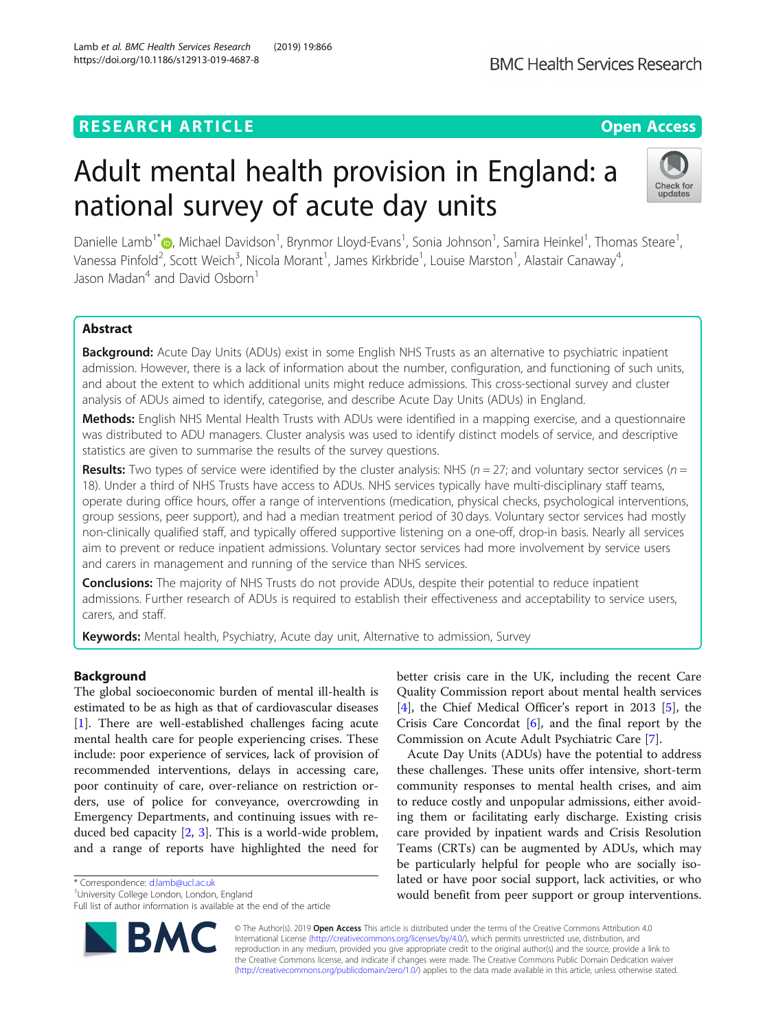### RESEARCH ARTICLE **External of the Contract Contract Contract Contract Contract Contract Contract Contract Contract Contract Contract Contract Contract Contract Contract Contract Contract Contract Contract Contract Contract**

# Adult mental health provision in England: a national survey of acute day units

Danielle Lamb<sup>1\*</sup>®, Michael Davidson<sup>1</sup>, Brynmor Lloyd-Evans<sup>1</sup>, Sonia Johnson<sup>1</sup>, Samira Heinkel<sup>1</sup>, Thomas Steare<sup>1</sup> , Vanessa Pinfold<sup>2</sup>, Scott Weich<sup>3</sup>, Nicola Morant<sup>1</sup>, James Kirkbride<sup>1</sup>, Louise Marston<sup>1</sup>, Alastair Canaway<sup>4</sup> , Jason Madan<sup>4</sup> and David Osborn<sup>1</sup>

#### Abstract

**Background:** Acute Day Units (ADUs) exist in some English NHS Trusts as an alternative to psychiatric inpatient admission. However, there is a lack of information about the number, configuration, and functioning of such units, and about the extent to which additional units might reduce admissions. This cross-sectional survey and cluster analysis of ADUs aimed to identify, categorise, and describe Acute Day Units (ADUs) in England.

Methods: English NHS Mental Health Trusts with ADUs were identified in a mapping exercise, and a questionnaire was distributed to ADU managers. Cluster analysis was used to identify distinct models of service, and descriptive statistics are given to summarise the results of the survey questions.

**Results:** Two types of service were identified by the cluster analysis: NHS ( $n = 27$ ; and voluntary sector services ( $n =$ 18). Under a third of NHS Trusts have access to ADUs. NHS services typically have multi-disciplinary staff teams, operate during office hours, offer a range of interventions (medication, physical checks, psychological interventions, group sessions, peer support), and had a median treatment period of 30 days. Voluntary sector services had mostly non-clinically qualified staff, and typically offered supportive listening on a one-off, drop-in basis. Nearly all services aim to prevent or reduce inpatient admissions. Voluntary sector services had more involvement by service users and carers in management and running of the service than NHS services.

**Conclusions:** The majority of NHS Trusts do not provide ADUs, despite their potential to reduce inpatient admissions. Further research of ADUs is required to establish their effectiveness and acceptability to service users, carers, and staff.

Keywords: Mental health, Psychiatry, Acute day unit, Alternative to admission, Survey

#### Background

The global socioeconomic burden of mental ill-health is estimated to be as high as that of cardiovascular diseases [[1\]](#page-10-0). There are well-established challenges facing acute mental health care for people experiencing crises. These include: poor experience of services, lack of provision of recommended interventions, delays in accessing care, poor continuity of care, over-reliance on restriction orders, use of police for conveyance, overcrowding in Emergency Departments, and continuing issues with reduced bed capacity [[2,](#page-10-0) [3](#page-10-0)]. This is a world-wide problem, and a range of reports have highlighted the need for

\* Correspondence: [d.lamb@ucl.ac.uk](mailto:d.lamb@ucl.ac.uk) <sup>1</sup>

<sup>1</sup>University College London, London, England

Full list of author information is available at the end of the article

© The Author(s). 2019 Open Access This article is distributed under the terms of the Creative Commons Attribution 4.0 International License [\(http://creativecommons.org/licenses/by/4.0/](http://creativecommons.org/licenses/by/4.0/)), which permits unrestricted use, distribution, and reproduction in any medium, provided you give appropriate credit to the original author(s) and the source, provide a link to the Creative Commons license, and indicate if changes were made. The Creative Commons Public Domain Dedication waiver [\(http://creativecommons.org/publicdomain/zero/1.0/](http://creativecommons.org/publicdomain/zero/1.0/)) applies to the data made available in this article, unless otherwise stated.

better crisis care in the UK, including the recent Care Quality Commission report about mental health services [[4\]](#page-10-0), the Chief Medical Officer's report in 2013 [\[5\]](#page-10-0), the Crisis Care Concordat [\[6](#page-10-0)], and the final report by the Commission on Acute Adult Psychiatric Care [\[7](#page-10-0)].

Acute Day Units (ADUs) have the potential to address these challenges. These units offer intensive, short-term community responses to mental health crises, and aim to reduce costly and unpopular admissions, either avoiding them or facilitating early discharge. Existing crisis care provided by inpatient wards and Crisis Resolution Teams (CRTs) can be augmented by ADUs, which may be particularly helpful for people who are socially isolated or have poor social support, lack activities, or who would benefit from peer support or group interventions.

Lamb et al. BMC Health Services Research (2019) 19:866 https://doi.org/10.1186/s12913-019-4687-8



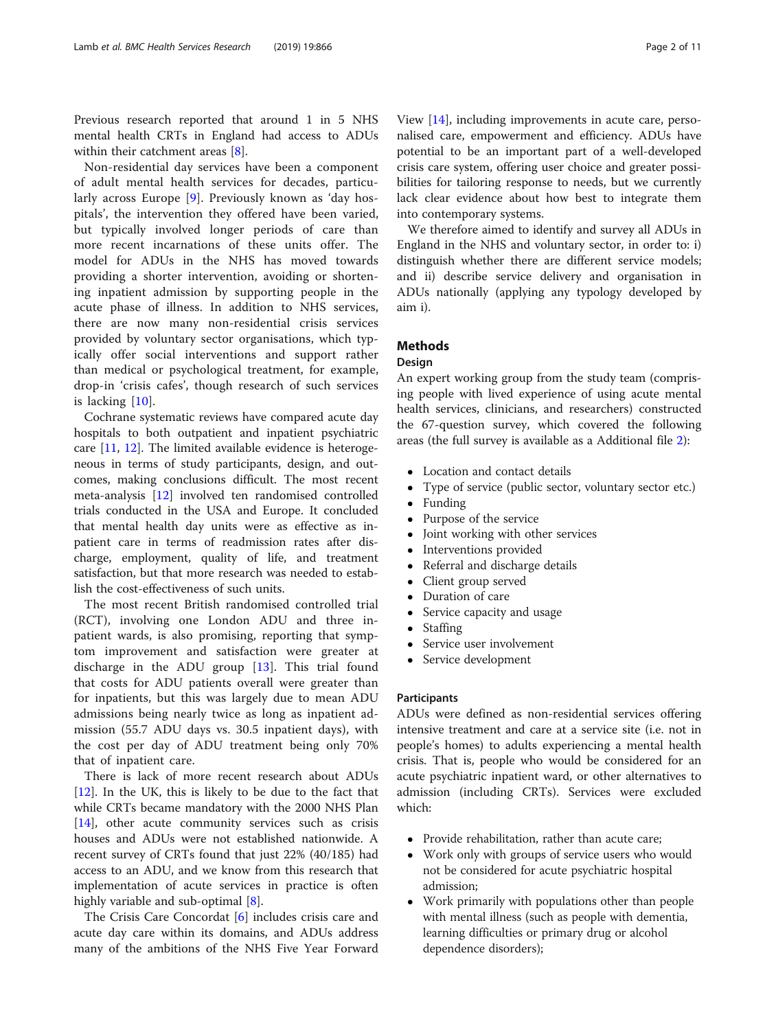Previous research reported that around 1 in 5 NHS mental health CRTs in England had access to ADUs within their catchment areas [\[8](#page-10-0)].

Non-residential day services have been a component of adult mental health services for decades, particularly across Europe [[9\]](#page-10-0). Previously known as 'day hospitals', the intervention they offered have been varied, but typically involved longer periods of care than more recent incarnations of these units offer. The model for ADUs in the NHS has moved towards providing a shorter intervention, avoiding or shortening inpatient admission by supporting people in the acute phase of illness. In addition to NHS services, there are now many non-residential crisis services provided by voluntary sector organisations, which typically offer social interventions and support rather than medical or psychological treatment, for example, drop-in 'crisis cafes', though research of such services is lacking [[10\]](#page-10-0).

Cochrane systematic reviews have compared acute day hospitals to both outpatient and inpatient psychiatric care [\[11,](#page-10-0) [12](#page-10-0)]. The limited available evidence is heterogeneous in terms of study participants, design, and outcomes, making conclusions difficult. The most recent meta-analysis [\[12\]](#page-10-0) involved ten randomised controlled trials conducted in the USA and Europe. It concluded that mental health day units were as effective as inpatient care in terms of readmission rates after discharge, employment, quality of life, and treatment satisfaction, but that more research was needed to establish the cost-effectiveness of such units.

The most recent British randomised controlled trial (RCT), involving one London ADU and three inpatient wards, is also promising, reporting that symptom improvement and satisfaction were greater at discharge in the ADU group [\[13](#page-10-0)]. This trial found that costs for ADU patients overall were greater than for inpatients, but this was largely due to mean ADU admissions being nearly twice as long as inpatient admission (55.7 ADU days vs. 30.5 inpatient days), with the cost per day of ADU treatment being only 70% that of inpatient care.

There is lack of more recent research about ADUs [[12\]](#page-10-0). In the UK, this is likely to be due to the fact that while CRTs became mandatory with the 2000 NHS Plan [[14\]](#page-10-0), other acute community services such as crisis houses and ADUs were not established nationwide. A recent survey of CRTs found that just 22% (40/185) had access to an ADU, and we know from this research that implementation of acute services in practice is often highly variable and sub-optimal [\[8](#page-10-0)].

The Crisis Care Concordat [[6\]](#page-10-0) includes crisis care and acute day care within its domains, and ADUs address many of the ambitions of the NHS Five Year Forward

View [[14\]](#page-10-0), including improvements in acute care, personalised care, empowerment and efficiency. ADUs have potential to be an important part of a well-developed crisis care system, offering user choice and greater possibilities for tailoring response to needs, but we currently lack clear evidence about how best to integrate them into contemporary systems.

We therefore aimed to identify and survey all ADUs in England in the NHS and voluntary sector, in order to: i) distinguish whether there are different service models; and ii) describe service delivery and organisation in ADUs nationally (applying any typology developed by aim i).

#### **Methods**

#### Design

An expert working group from the study team (comprising people with lived experience of using acute mental health services, clinicians, and researchers) constructed the 67-question survey, which covered the following areas (the full survey is available as a Additional file [2](#page-9-0)):

- Location and contact details
- Type of service (public sector, voluntary sector etc.)
- Funding
- Purpose of the service
- Joint working with other services
- Interventions provided<br>• Referral and discharge
- Referral and discharge details<br>• Client group served
- Client group served
- Duration of care
- Service capacity and usage
- Staffing
- Service user involvement
- Service development

#### Participants

ADUs were defined as non-residential services offering intensive treatment and care at a service site (i.e. not in people's homes) to adults experiencing a mental health crisis. That is, people who would be considered for an acute psychiatric inpatient ward, or other alternatives to admission (including CRTs). Services were excluded which:

- Provide rehabilitation, rather than acute care;
- Work only with groups of service users who would not be considered for acute psychiatric hospital admission;
- Work primarily with populations other than people with mental illness (such as people with dementia, learning difficulties or primary drug or alcohol dependence disorders);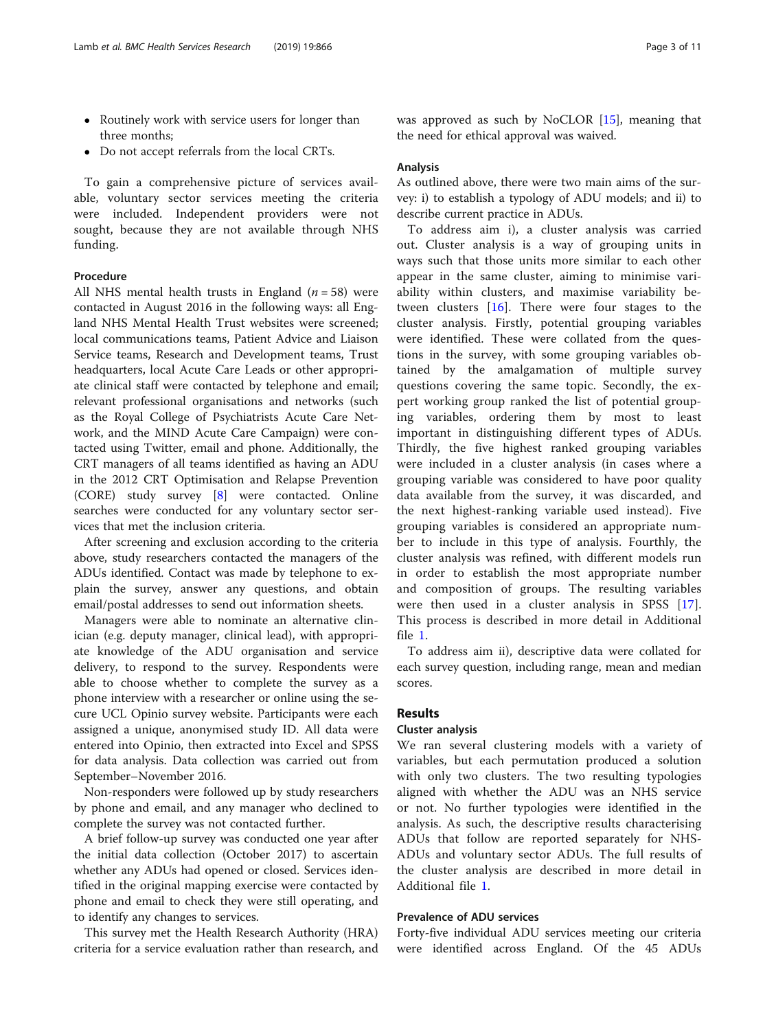- Routinely work with service users for longer than three months;
- Do not accept referrals from the local CRTs.

To gain a comprehensive picture of services available, voluntary sector services meeting the criteria were included. Independent providers were not sought, because they are not available through NHS funding.

#### Procedure

All NHS mental health trusts in England ( $n = 58$ ) were contacted in August 2016 in the following ways: all England NHS Mental Health Trust websites were screened; local communications teams, Patient Advice and Liaison Service teams, Research and Development teams, Trust headquarters, local Acute Care Leads or other appropriate clinical staff were contacted by telephone and email; relevant professional organisations and networks (such as the Royal College of Psychiatrists Acute Care Network, and the MIND Acute Care Campaign) were contacted using Twitter, email and phone. Additionally, the CRT managers of all teams identified as having an ADU in the 2012 CRT Optimisation and Relapse Prevention (CORE) study survey [[8\]](#page-10-0) were contacted. Online searches were conducted for any voluntary sector services that met the inclusion criteria.

After screening and exclusion according to the criteria above, study researchers contacted the managers of the ADUs identified. Contact was made by telephone to explain the survey, answer any questions, and obtain email/postal addresses to send out information sheets.

Managers were able to nominate an alternative clinician (e.g. deputy manager, clinical lead), with appropriate knowledge of the ADU organisation and service delivery, to respond to the survey. Respondents were able to choose whether to complete the survey as a phone interview with a researcher or online using the secure UCL Opinio survey website. Participants were each assigned a unique, anonymised study ID. All data were entered into Opinio, then extracted into Excel and SPSS for data analysis. Data collection was carried out from September–November 2016.

Non-responders were followed up by study researchers by phone and email, and any manager who declined to complete the survey was not contacted further.

A brief follow-up survey was conducted one year after the initial data collection (October 2017) to ascertain whether any ADUs had opened or closed. Services identified in the original mapping exercise were contacted by phone and email to check they were still operating, and to identify any changes to services.

This survey met the Health Research Authority (HRA) criteria for a service evaluation rather than research, and was approved as such by NoCLOR [\[15\]](#page-10-0), meaning that the need for ethical approval was waived.

#### Analysis

As outlined above, there were two main aims of the survey: i) to establish a typology of ADU models; and ii) to describe current practice in ADUs.

To address aim i), a cluster analysis was carried out. Cluster analysis is a way of grouping units in ways such that those units more similar to each other appear in the same cluster, aiming to minimise variability within clusters, and maximise variability between clusters  $[16]$  $[16]$  $[16]$ . There were four stages to the cluster analysis. Firstly, potential grouping variables were identified. These were collated from the questions in the survey, with some grouping variables obtained by the amalgamation of multiple survey questions covering the same topic. Secondly, the expert working group ranked the list of potential grouping variables, ordering them by most to least important in distinguishing different types of ADUs. Thirdly, the five highest ranked grouping variables were included in a cluster analysis (in cases where a grouping variable was considered to have poor quality data available from the survey, it was discarded, and the next highest-ranking variable used instead). Five grouping variables is considered an appropriate number to include in this type of analysis. Fourthly, the cluster analysis was refined, with different models run in order to establish the most appropriate number and composition of groups. The resulting variables were then used in a cluster analysis in SPSS [\[17](#page-10-0)]. This process is described in more detail in Additional file [1](#page-9-0).

To address aim ii), descriptive data were collated for each survey question, including range, mean and median scores.

#### Results

#### Cluster analysis

We ran several clustering models with a variety of variables, but each permutation produced a solution with only two clusters. The two resulting typologies aligned with whether the ADU was an NHS service or not. No further typologies were identified in the analysis. As such, the descriptive results characterising ADUs that follow are reported separately for NHS-ADUs and voluntary sector ADUs. The full results of the cluster analysis are described in more detail in Additional file [1](#page-9-0).

#### Prevalence of ADU services

Forty-five individual ADU services meeting our criteria were identified across England. Of the 45 ADUs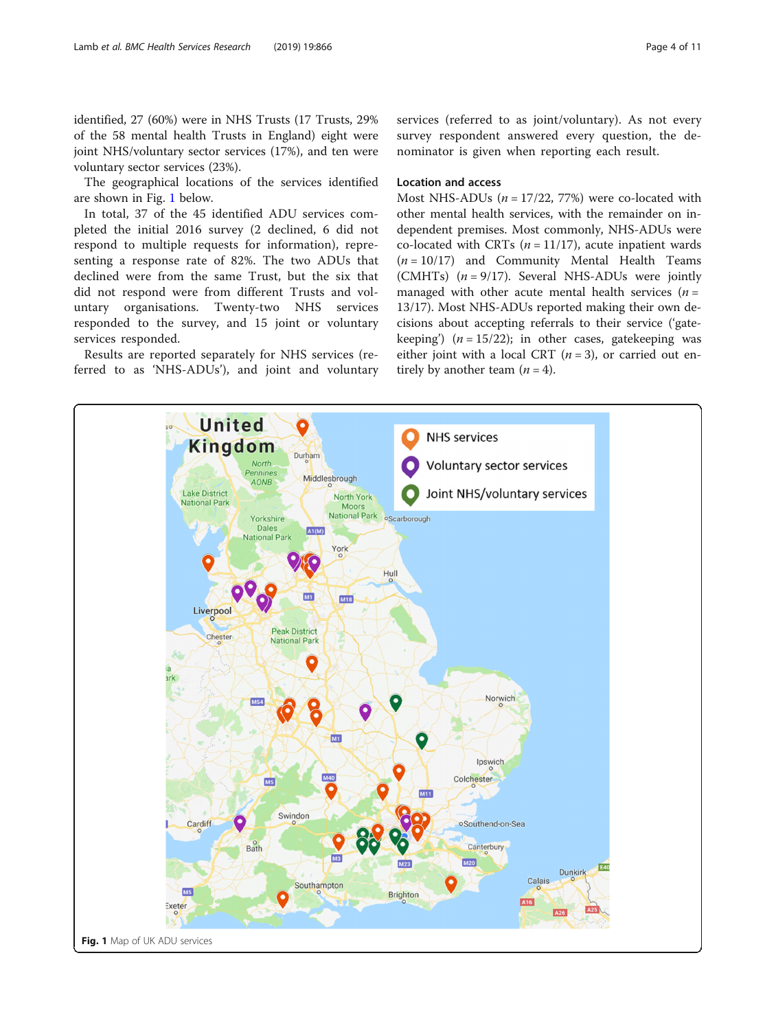<span id="page-3-0"></span>identified, 27 (60%) were in NHS Trusts (17 Trusts, 29% of the 58 mental health Trusts in England) eight were joint NHS/voluntary sector services (17%), and ten were voluntary sector services (23%).

The geographical locations of the services identified are shown in Fig. 1 below.

In total, 37 of the 45 identified ADU services completed the initial 2016 survey (2 declined, 6 did not respond to multiple requests for information), representing a response rate of 82%. The two ADUs that declined were from the same Trust, but the six that did not respond were from different Trusts and voluntary organisations. Twenty-two NHS services responded to the survey, and 15 joint or voluntary services responded.

Results are reported separately for NHS services (referred to as 'NHS-ADUs'), and joint and voluntary services (referred to as joint/voluntary). As not every survey respondent answered every question, the denominator is given when reporting each result.

#### Location and access

Most NHS-ADUs ( $n = 17/22$ , 77%) were co-located with other mental health services, with the remainder on independent premises. Most commonly, NHS-ADUs were co-located with CRTs ( $n = 11/17$ ), acute inpatient wards  $(n = 10/17)$  and Community Mental Health Teams (CMHTs)  $(n = 9/17)$ . Several NHS-ADUs were jointly managed with other acute mental health services  $(n =$ 13/17). Most NHS-ADUs reported making their own decisions about accepting referrals to their service ('gatekeeping')  $(n = 15/22)$ ; in other cases, gatekeeping was either joint with a local CRT  $(n = 3)$ , or carried out entirely by another team  $(n = 4)$ .

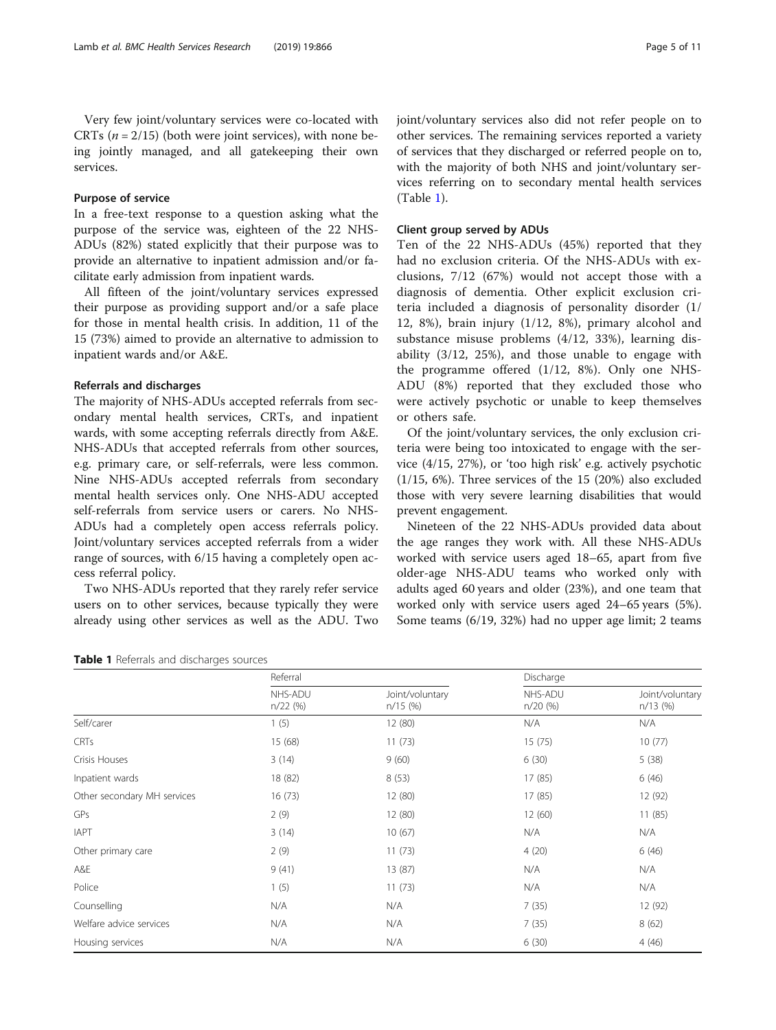#### Purpose of service

In a free-text response to a question asking what the purpose of the service was, eighteen of the 22 NHS-ADUs (82%) stated explicitly that their purpose was to provide an alternative to inpatient admission and/or facilitate early admission from inpatient wards.

All fifteen of the joint/voluntary services expressed their purpose as providing support and/or a safe place for those in mental health crisis. In addition, 11 of the 15 (73%) aimed to provide an alternative to admission to inpatient wards and/or A&E.

#### Referrals and discharges

The majority of NHS-ADUs accepted referrals from secondary mental health services, CRTs, and inpatient wards, with some accepting referrals directly from A&E. NHS-ADUs that accepted referrals from other sources, e.g. primary care, or self-referrals, were less common. Nine NHS-ADUs accepted referrals from secondary mental health services only. One NHS-ADU accepted self-referrals from service users or carers. No NHS-ADUs had a completely open access referrals policy. Joint/voluntary services accepted referrals from a wider range of sources, with 6/15 having a completely open access referral policy.

Two NHS-ADUs reported that they rarely refer service users on to other services, because typically they were already using other services as well as the ADU. Two with the majority of both NHS and joint/voluntary services referring on to secondary mental health services (Table 1).

#### Client group served by ADUs

Ten of the 22 NHS-ADUs (45%) reported that they had no exclusion criteria. Of the NHS-ADUs with exclusions, 7/12 (67%) would not accept those with a diagnosis of dementia. Other explicit exclusion criteria included a diagnosis of personality disorder (1/ 12, 8%), brain injury (1/12, 8%), primary alcohol and substance misuse problems (4/12, 33%), learning disability (3/12, 25%), and those unable to engage with the programme offered (1/12, 8%). Only one NHS-ADU (8%) reported that they excluded those who were actively psychotic or unable to keep themselves or others safe.

Of the joint/voluntary services, the only exclusion criteria were being too intoxicated to engage with the service (4/15, 27%), or 'too high risk' e.g. actively psychotic (1/15, 6%). Three services of the 15 (20%) also excluded those with very severe learning disabilities that would prevent engagement.

Nineteen of the 22 NHS-ADUs provided data about the age ranges they work with. All these NHS-ADUs worked with service users aged 18–65, apart from five older-age NHS-ADU teams who worked only with adults aged 60 years and older (23%), and one team that worked only with service users aged 24–65 years (5%). Some teams (6/19, 32%) had no upper age limit; 2 teams

| Table 1 Referrals and discharges sources |  |
|------------------------------------------|--|
|------------------------------------------|--|

|                             | Referral              |                               | Discharge             |                               |  |  |
|-----------------------------|-----------------------|-------------------------------|-----------------------|-------------------------------|--|--|
|                             | NHS-ADU<br>$n/22$ (%) | Joint/voluntary<br>$n/15$ (%) | NHS-ADU<br>$n/20$ (%) | Joint/voluntary<br>$n/13$ (%) |  |  |
| Self/carer                  | 1(5)                  | 12 (80)                       | N/A                   | N/A                           |  |  |
| <b>CRTs</b>                 | 15 (68)               | 11(73)                        | 15(75)                | 10(77)                        |  |  |
| Crisis Houses               | 3(14)                 | 9(60)                         | 6(30)                 | 5(38)                         |  |  |
| Inpatient wards             | 18 (82)               | 8(53)                         | 17(85)                | 6(46)                         |  |  |
| Other secondary MH services | 16(73)                | 12 (80)                       | 17(85)                | 12 (92)                       |  |  |
| GPs                         | 2(9)                  | 12 (80)                       | 12(60)                | 11(85)                        |  |  |
| <b>IAPT</b>                 | 3(14)                 | 10(67)                        | N/A                   | N/A                           |  |  |
| Other primary care          | 2(9)                  | 11(73)                        | 4(20)                 | 6(46)                         |  |  |
| A&E                         | 9(41)                 | 13 (87)                       | N/A                   | N/A                           |  |  |
| Police                      | 1(5)                  | 11(73)                        | N/A                   | N/A                           |  |  |
| Counselling                 | N/A                   | N/A                           | 7(35)                 | 12 (92)                       |  |  |
| Welfare advice services     | N/A                   | N/A                           | 7(35)                 | 8(62)                         |  |  |
| Housing services            | N/A                   | N/A                           | 6(30)                 | 4(46)                         |  |  |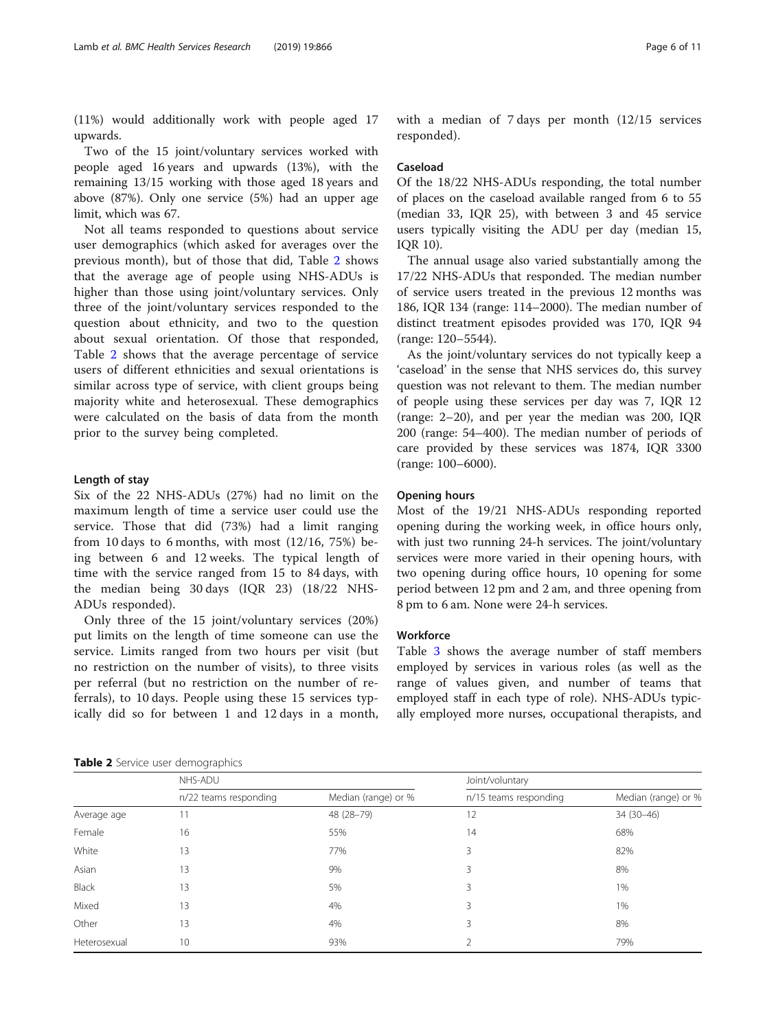(11%) would additionally work with people aged 17 upwards.

Two of the 15 joint/voluntary services worked with people aged 16 years and upwards (13%), with the remaining 13/15 working with those aged 18 years and above (87%). Only one service (5%) had an upper age limit, which was 67.

Not all teams responded to questions about service user demographics (which asked for averages over the previous month), but of those that did, Table 2 shows that the average age of people using NHS-ADUs is higher than those using joint/voluntary services. Only three of the joint/voluntary services responded to the question about ethnicity, and two to the question about sexual orientation. Of those that responded, Table 2 shows that the average percentage of service users of different ethnicities and sexual orientations is similar across type of service, with client groups being majority white and heterosexual. These demographics were calculated on the basis of data from the month prior to the survey being completed.

#### Length of stay

Six of the 22 NHS-ADUs (27%) had no limit on the maximum length of time a service user could use the service. Those that did (73%) had a limit ranging from 10 days to 6 months, with most  $(12/16, 75%)$  being between 6 and 12 weeks. The typical length of time with the service ranged from 15 to 84 days, with the median being 30 days (IQR 23) (18/22 NHS-ADUs responded).

Only three of the 15 joint/voluntary services (20%) put limits on the length of time someone can use the service. Limits ranged from two hours per visit (but no restriction on the number of visits), to three visits per referral (but no restriction on the number of referrals), to 10 days. People using these 15 services typically did so for between 1 and 12 days in a month, with a median of 7 days per month (12/15 services responded).

#### Caseload

Of the 18/22 NHS-ADUs responding, the total number of places on the caseload available ranged from 6 to 55 (median 33, IQR 25), with between 3 and 45 service users typically visiting the ADU per day (median 15, IQR 10).

The annual usage also varied substantially among the 17/22 NHS-ADUs that responded. The median number of service users treated in the previous 12 months was 186, IQR 134 (range: 114–2000). The median number of distinct treatment episodes provided was 170, IQR 94 (range: 120–5544).

As the joint/voluntary services do not typically keep a 'caseload' in the sense that NHS services do, this survey question was not relevant to them. The median number of people using these services per day was 7, IQR 12 (range: 2–20), and per year the median was 200, IQR 200 (range: 54–400). The median number of periods of care provided by these services was 1874, IQR 3300 (range: 100–6000).

#### Opening hours

Most of the 19/21 NHS-ADUs responding reported opening during the working week, in office hours only, with just two running 24-h services. The joint/voluntary services were more varied in their opening hours, with two opening during office hours, 10 opening for some period between 12 pm and 2 am, and three opening from 8 pm to 6 am. None were 24-h services.

#### **Workforce**

Table [3](#page-6-0) shows the average number of staff members employed by services in various roles (as well as the range of values given, and number of teams that employed staff in each type of role). NHS-ADUs typically employed more nurses, occupational therapists, and

|  |  |  | Table 2 Service user demographics |  |
|--|--|--|-----------------------------------|--|
|--|--|--|-----------------------------------|--|

|              | NHS-ADU               |                     | Joint/voluntary       |                     |
|--------------|-----------------------|---------------------|-----------------------|---------------------|
|              | n/22 teams responding | Median (range) or % | n/15 teams responding | Median (range) or % |
| Average age  | 11                    | 48 (28-79)          | 12                    | 34 (30-46)          |
| Female       | 16                    | 55%                 | 14                    | 68%                 |
| White        | 13                    | 77%                 | 3                     | 82%                 |
| Asian        | 13                    | 9%                  | 3                     | 8%                  |
| Black        | 13                    | 5%                  | ζ                     | 1%                  |
| Mixed        | 13                    | 4%                  | 3                     | 1%                  |
| Other        | 13                    | 4%                  | 3                     | 8%                  |
| Heterosexual | 10                    | 93%                 |                       | 79%                 |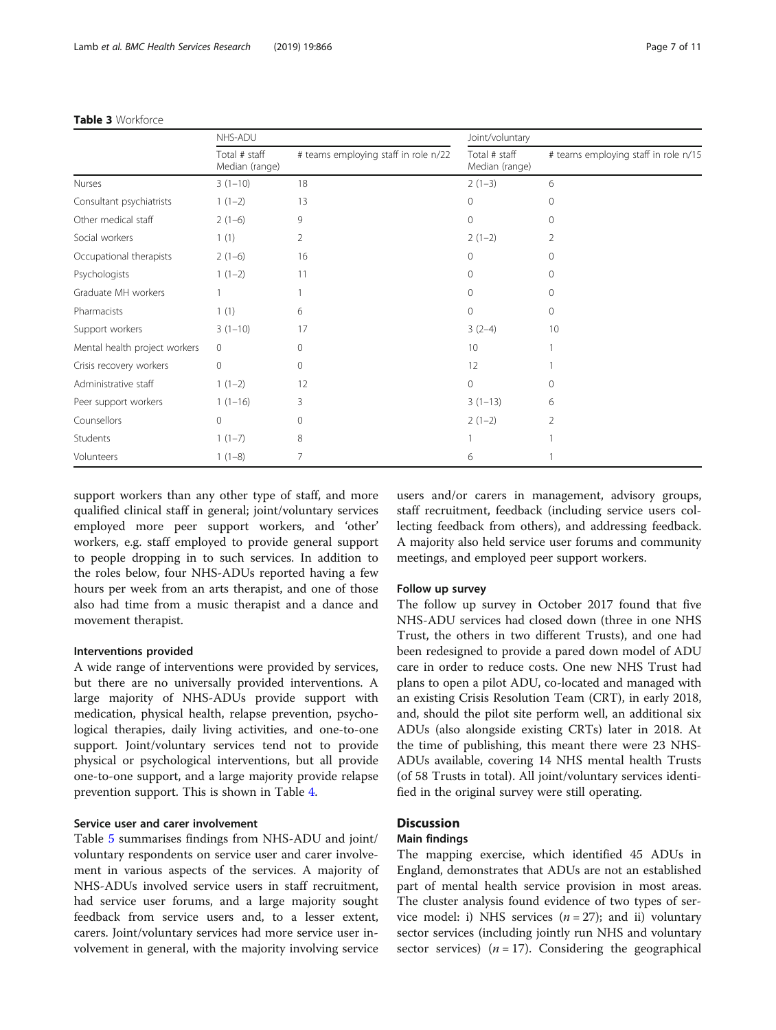|                               | NHS-ADU                         |                                      | Joint/voluntary                 |                                      |  |  |
|-------------------------------|---------------------------------|--------------------------------------|---------------------------------|--------------------------------------|--|--|
|                               | Total # staff<br>Median (range) | # teams employing staff in role n/22 | Total # staff<br>Median (range) | # teams employing staff in role n/15 |  |  |
| Nurses                        | $3(1-10)$                       | 18                                   | $2(1-3)$                        | 6                                    |  |  |
| Consultant psychiatrists      | $1(1-2)$                        | 13                                   | 0                               | 0                                    |  |  |
| Other medical staff           | $2(1-6)$                        | 9                                    | 0                               | $\mathbf{0}$                         |  |  |
| Social workers                | 1(1)                            | 2                                    | $2(1-2)$                        | 2                                    |  |  |
| Occupational therapists       | $2(1-6)$                        | 16                                   | 0                               | $\mathbf{0}$                         |  |  |
| Psychologists                 | $1(1-2)$                        | 11                                   | 0                               | $\mathbf{0}$                         |  |  |
| Graduate MH workers           |                                 |                                      | $\Omega$                        | $\mathbf{0}$                         |  |  |
| Pharmacists                   | 1(1)                            | 6                                    | $\Omega$                        | 0                                    |  |  |
| Support workers               | $3(1-10)$                       | 17                                   | $3(2-4)$                        | 10                                   |  |  |
| Mental health project workers | $\overline{0}$                  | $\Omega$                             | 10                              |                                      |  |  |
| Crisis recovery workers       | $\circ$                         | 0                                    | 12                              |                                      |  |  |
| Administrative staff          | $1(1-2)$                        | 12                                   | 0                               | $\mathbf{0}$                         |  |  |
| Peer support workers          | $1(1-16)$                       | 3                                    | $3(1-13)$                       | 6                                    |  |  |
| Counsellors                   | $\Omega$                        | $\Omega$                             | $2(1-2)$                        | 2                                    |  |  |
| Students                      | $1(1-7)$                        | 8                                    |                                 |                                      |  |  |
| Volunteers                    | $1(1-8)$                        | 7                                    | 6                               |                                      |  |  |

#### <span id="page-6-0"></span>Table 3 Workforce

support workers than any other type of staff, and more qualified clinical staff in general; joint/voluntary services employed more peer support workers, and 'other' workers, e.g. staff employed to provide general support to people dropping in to such services. In addition to the roles below, four NHS-ADUs reported having a few hours per week from an arts therapist, and one of those also had time from a music therapist and a dance and movement therapist.

#### Interventions provided

A wide range of interventions were provided by services, but there are no universally provided interventions. A large majority of NHS-ADUs provide support with medication, physical health, relapse prevention, psychological therapies, daily living activities, and one-to-one support. Joint/voluntary services tend not to provide physical or psychological interventions, but all provide one-to-one support, and a large majority provide relapse prevention support. This is shown in Table [4.](#page-7-0)

#### Service user and carer involvement

Table [5](#page-7-0) summarises findings from NHS-ADU and joint/ voluntary respondents on service user and carer involvement in various aspects of the services. A majority of NHS-ADUs involved service users in staff recruitment, had service user forums, and a large majority sought feedback from service users and, to a lesser extent, carers. Joint/voluntary services had more service user involvement in general, with the majority involving service

users and/or carers in management, advisory groups, staff recruitment, feedback (including service users collecting feedback from others), and addressing feedback. A majority also held service user forums and community meetings, and employed peer support workers.

#### Follow up survey

The follow up survey in October 2017 found that five NHS-ADU services had closed down (three in one NHS Trust, the others in two different Trusts), and one had been redesigned to provide a pared down model of ADU care in order to reduce costs. One new NHS Trust had plans to open a pilot ADU, co-located and managed with an existing Crisis Resolution Team (CRT), in early 2018, and, should the pilot site perform well, an additional six ADUs (also alongside existing CRTs) later in 2018. At the time of publishing, this meant there were 23 NHS-ADUs available, covering 14 NHS mental health Trusts (of 58 Trusts in total). All joint/voluntary services identified in the original survey were still operating.

#### **Discussion**

#### Main findings

The mapping exercise, which identified 45 ADUs in England, demonstrates that ADUs are not an established part of mental health service provision in most areas. The cluster analysis found evidence of two types of service model: i) NHS services  $(n = 27)$ ; and ii) voluntary sector services (including jointly run NHS and voluntary sector services) ( $n = 17$ ). Considering the geographical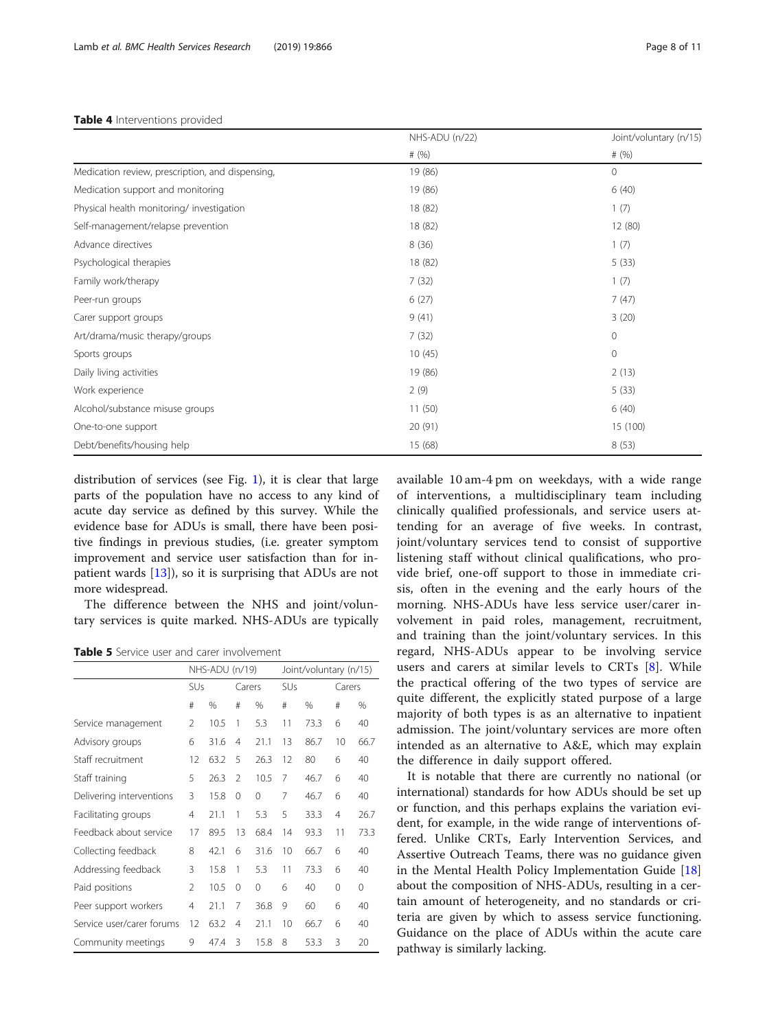#### <span id="page-7-0"></span>Table 4 Interventions provided

|                                                  | NHS-ADU (n/22) | Joint/voluntary (n/15) |  |
|--------------------------------------------------|----------------|------------------------|--|
|                                                  | # $(%)$        | # $(%)$                |  |
| Medication review, prescription, and dispensing, | 19 (86)        | $\mathbf{0}$           |  |
| Medication support and monitoring                | 19 (86)        | 6(40)                  |  |
| Physical health monitoring/ investigation        | 18 (82)        | 1(7)                   |  |
| Self-management/relapse prevention               | 18 (82)        | 12 (80)                |  |
| Advance directives                               | 8(36)          | 1(7)                   |  |
| Psychological therapies                          | 18 (82)        | 5(33)                  |  |
| Family work/therapy                              | 7(32)          | 1(7)                   |  |
| Peer-run groups                                  | 6(27)          | 7(47)                  |  |
| Carer support groups                             | 9(41)          | 3(20)                  |  |
| Art/drama/music therapy/groups                   | 7(32)          | $\mathbf 0$            |  |
| Sports groups                                    | 10(45)         | $\mathbf{0}$           |  |
| Daily living activities                          | 19 (86)        | 2(13)                  |  |
| Work experience                                  | 2(9)           | 5(33)                  |  |
| Alcohol/substance misuse groups                  | 11(50)         | 6(40)                  |  |
| One-to-one support                               | 20 (91)        | 15 (100)               |  |
| Debt/benefits/housing help                       | 15 (68)        | 8(53)                  |  |

distribution of services (see Fig. [1](#page-3-0)), it is clear that large parts of the population have no access to any kind of acute day service as defined by this survey. While the evidence base for ADUs is small, there have been positive findings in previous studies, (i.e. greater symptom improvement and service user satisfaction than for inpatient wards [\[13](#page-10-0)]), so it is surprising that ADUs are not more widespread.

The difference between the NHS and joint/voluntary services is quite marked. NHS-ADUs are typically

Table 5 Service user and carer involvement

|                           | NHS-ADU (n/19) |      |                | Joint/voluntary (n/15) |     |      |                |      |
|---------------------------|----------------|------|----------------|------------------------|-----|------|----------------|------|
|                           | SUs            |      | Carers         |                        | SUs |      | Carers         |      |
|                           | #              | %    | #              | %                      | #   | %    | #              | %    |
| Service management        | $\mathfrak{D}$ | 10.5 | 1              | 5.3                    | 11  | 73.3 | 6              | 40   |
| Advisory groups           | 6              | 31.6 | 4              | 21.1                   | 13  | 86.7 | 10             | 66.7 |
| Staff recruitment         | 12             | 63.2 | 5              | 26.3                   | 12  | 80   | 6              | 40   |
| Staff training            | 5              | 26.3 | $\mathfrak{D}$ | 10.5                   | 7   | 46.7 | 6              | 40   |
| Delivering interventions  | 3              | 15.8 | 0              | $\Omega$               | 7   | 46.7 | 6              | 40   |
| Facilitating groups       | 4              | 21.1 | 1              | 5.3                    | 5   | 33.3 | $\overline{4}$ | 26.7 |
| Feedback about service    | 17             | 89.5 | 13             | 68.4                   | 14  | 93.3 | 11             | 73.3 |
| Collecting feedback       | 8              | 42.1 | 6              | 31.6                   | 10  | 66.7 | 6              | 40   |
| Addressing feedback       | 3              | 15.8 | 1              | 5.3                    | 11  | 73.3 | 6              | 40   |
| Paid positions            | $\mathfrak{D}$ | 10.5 | 0              | 0                      | 6   | 40   | 0              | 0    |
| Peer support workers      | 4              | 21.1 | 7              | 36.8                   | 9   | 60   | 6              | 40   |
| Service user/carer forums | 12             | 63.2 | 4              | 21.1                   | 10  | 66.7 | 6              | 40   |
| Community meetings        | 9              | 47.4 | 3              | 15.8                   | 8   | 53.3 | 3              | 20   |

available 10 am-4 pm on weekdays, with a wide range of interventions, a multidisciplinary team including clinically qualified professionals, and service users attending for an average of five weeks. In contrast, joint/voluntary services tend to consist of supportive listening staff without clinical qualifications, who provide brief, one-off support to those in immediate crisis, often in the evening and the early hours of the morning. NHS-ADUs have less service user/carer involvement in paid roles, management, recruitment, and training than the joint/voluntary services. In this regard, NHS-ADUs appear to be involving service users and carers at similar levels to CRTs [\[8](#page-10-0)]. While the practical offering of the two types of service are quite different, the explicitly stated purpose of a large majority of both types is as an alternative to inpatient admission. The joint/voluntary services are more often intended as an alternative to A&E, which may explain the difference in daily support offered.

It is notable that there are currently no national (or international) standards for how ADUs should be set up or function, and this perhaps explains the variation evident, for example, in the wide range of interventions offered. Unlike CRTs, Early Intervention Services, and Assertive Outreach Teams, there was no guidance given in the Mental Health Policy Implementation Guide [[18](#page-10-0)] about the composition of NHS-ADUs, resulting in a certain amount of heterogeneity, and no standards or criteria are given by which to assess service functioning. Guidance on the place of ADUs within the acute care pathway is similarly lacking.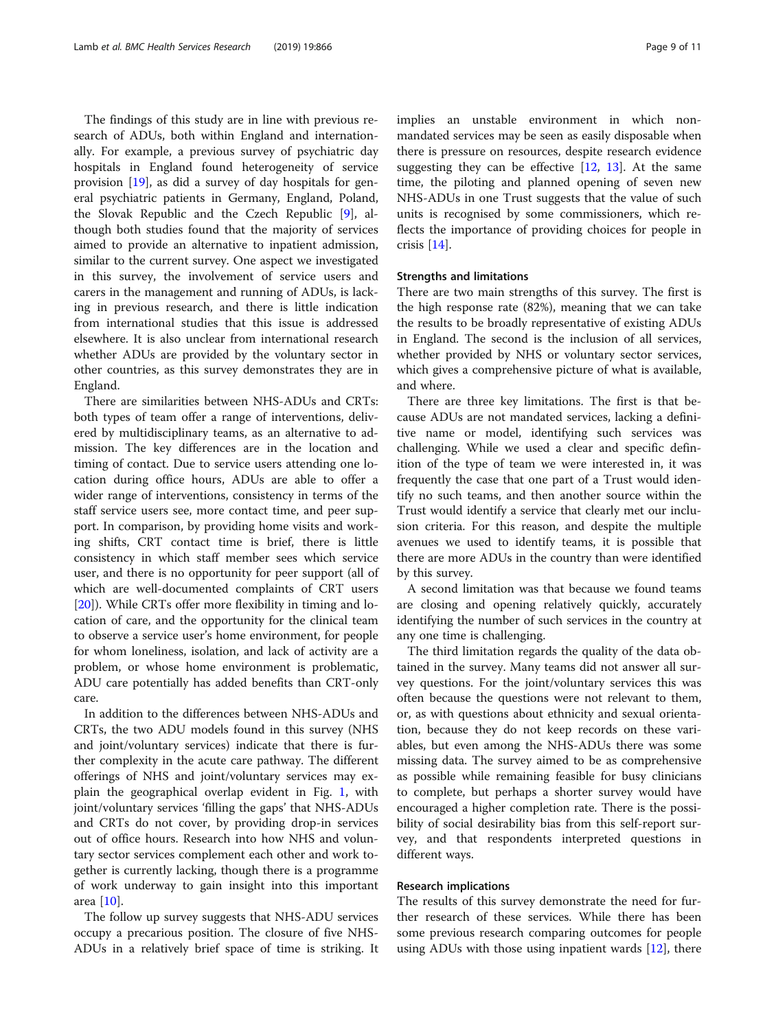The findings of this study are in line with previous research of ADUs, both within England and internationally. For example, a previous survey of psychiatric day hospitals in England found heterogeneity of service provision [[19](#page-10-0)], as did a survey of day hospitals for general psychiatric patients in Germany, England, Poland, the Slovak Republic and the Czech Republic [[9\]](#page-10-0), although both studies found that the majority of services aimed to provide an alternative to inpatient admission, similar to the current survey. One aspect we investigated in this survey, the involvement of service users and carers in the management and running of ADUs, is lacking in previous research, and there is little indication from international studies that this issue is addressed elsewhere. It is also unclear from international research whether ADUs are provided by the voluntary sector in other countries, as this survey demonstrates they are in England.

There are similarities between NHS-ADUs and CRTs: both types of team offer a range of interventions, delivered by multidisciplinary teams, as an alternative to admission. The key differences are in the location and timing of contact. Due to service users attending one location during office hours, ADUs are able to offer a wider range of interventions, consistency in terms of the staff service users see, more contact time, and peer support. In comparison, by providing home visits and working shifts, CRT contact time is brief, there is little consistency in which staff member sees which service user, and there is no opportunity for peer support (all of which are well-documented complaints of CRT users [[20\]](#page-10-0)). While CRTs offer more flexibility in timing and location of care, and the opportunity for the clinical team to observe a service user's home environment, for people for whom loneliness, isolation, and lack of activity are a problem, or whose home environment is problematic, ADU care potentially has added benefits than CRT-only care.

In addition to the differences between NHS-ADUs and CRTs, the two ADU models found in this survey (NHS and joint/voluntary services) indicate that there is further complexity in the acute care pathway. The different offerings of NHS and joint/voluntary services may explain the geographical overlap evident in Fig. [1](#page-3-0), with joint/voluntary services 'filling the gaps' that NHS-ADUs and CRTs do not cover, by providing drop-in services out of office hours. Research into how NHS and voluntary sector services complement each other and work together is currently lacking, though there is a programme of work underway to gain insight into this important area [[10\]](#page-10-0).

The follow up survey suggests that NHS-ADU services occupy a precarious position. The closure of five NHS-ADUs in a relatively brief space of time is striking. It implies an unstable environment in which nonmandated services may be seen as easily disposable when there is pressure on resources, despite research evidence suggesting they can be effective  $[12, 13]$  $[12, 13]$  $[12, 13]$  $[12, 13]$  $[12, 13]$ . At the same time, the piloting and planned opening of seven new NHS-ADUs in one Trust suggests that the value of such units is recognised by some commissioners, which reflects the importance of providing choices for people in crisis [[14](#page-10-0)].

#### Strengths and limitations

There are two main strengths of this survey. The first is the high response rate (82%), meaning that we can take the results to be broadly representative of existing ADUs in England. The second is the inclusion of all services, whether provided by NHS or voluntary sector services, which gives a comprehensive picture of what is available, and where.

There are three key limitations. The first is that because ADUs are not mandated services, lacking a definitive name or model, identifying such services was challenging. While we used a clear and specific definition of the type of team we were interested in, it was frequently the case that one part of a Trust would identify no such teams, and then another source within the Trust would identify a service that clearly met our inclusion criteria. For this reason, and despite the multiple avenues we used to identify teams, it is possible that there are more ADUs in the country than were identified by this survey.

A second limitation was that because we found teams are closing and opening relatively quickly, accurately identifying the number of such services in the country at any one time is challenging.

The third limitation regards the quality of the data obtained in the survey. Many teams did not answer all survey questions. For the joint/voluntary services this was often because the questions were not relevant to them, or, as with questions about ethnicity and sexual orientation, because they do not keep records on these variables, but even among the NHS-ADUs there was some missing data. The survey aimed to be as comprehensive as possible while remaining feasible for busy clinicians to complete, but perhaps a shorter survey would have encouraged a higher completion rate. There is the possibility of social desirability bias from this self-report survey, and that respondents interpreted questions in different ways.

#### Research implications

The results of this survey demonstrate the need for further research of these services. While there has been some previous research comparing outcomes for people using ADUs with those using inpatient wards [\[12](#page-10-0)], there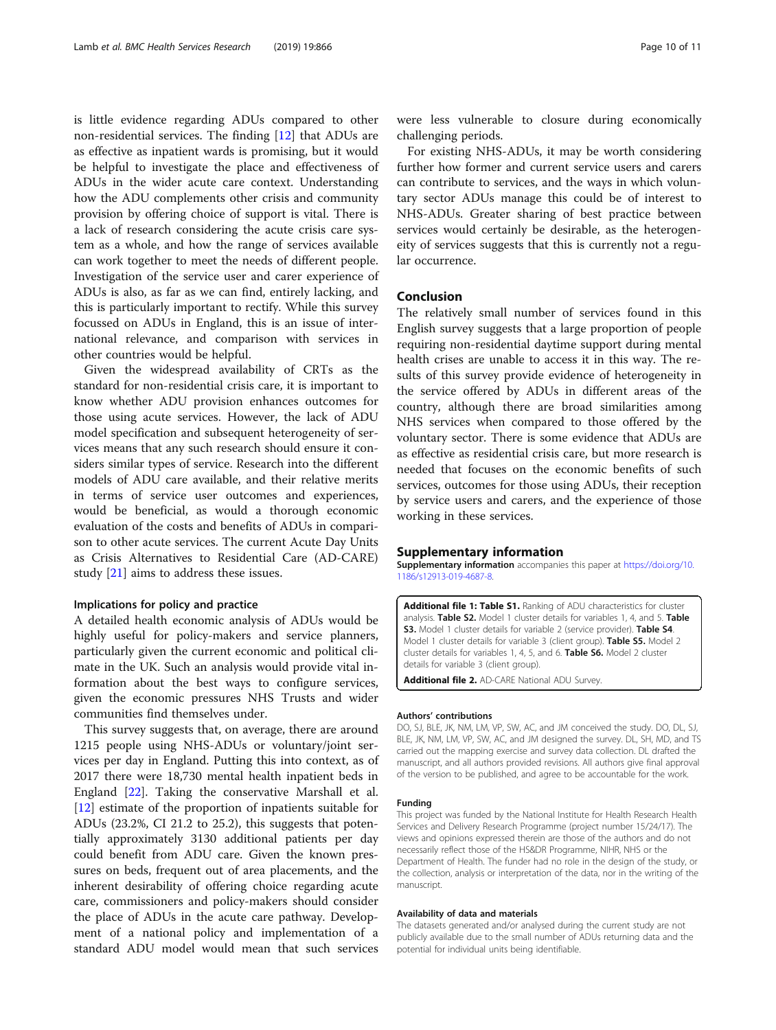<span id="page-9-0"></span>is little evidence regarding ADUs compared to other non-residential services. The finding [[12\]](#page-10-0) that ADUs are as effective as inpatient wards is promising, but it would be helpful to investigate the place and effectiveness of ADUs in the wider acute care context. Understanding how the ADU complements other crisis and community provision by offering choice of support is vital. There is a lack of research considering the acute crisis care system as a whole, and how the range of services available can work together to meet the needs of different people. Investigation of the service user and carer experience of ADUs is also, as far as we can find, entirely lacking, and this is particularly important to rectify. While this survey focussed on ADUs in England, this is an issue of international relevance, and comparison with services in other countries would be helpful.

Given the widespread availability of CRTs as the standard for non-residential crisis care, it is important to know whether ADU provision enhances outcomes for those using acute services. However, the lack of ADU model specification and subsequent heterogeneity of services means that any such research should ensure it considers similar types of service. Research into the different models of ADU care available, and their relative merits in terms of service user outcomes and experiences, would be beneficial, as would a thorough economic evaluation of the costs and benefits of ADUs in comparison to other acute services. The current Acute Day Units as Crisis Alternatives to Residential Care (AD-CARE) study [[21\]](#page-10-0) aims to address these issues.

#### Implications for policy and practice

A detailed health economic analysis of ADUs would be highly useful for policy-makers and service planners, particularly given the current economic and political climate in the UK. Such an analysis would provide vital information about the best ways to configure services, given the economic pressures NHS Trusts and wider communities find themselves under.

This survey suggests that, on average, there are around 1215 people using NHS-ADUs or voluntary/joint services per day in England. Putting this into context, as of 2017 there were 18,730 mental health inpatient beds in England [[22](#page-10-0)]. Taking the conservative Marshall et al. [[12\]](#page-10-0) estimate of the proportion of inpatients suitable for ADUs (23.2%, CI 21.2 to 25.2), this suggests that potentially approximately 3130 additional patients per day could benefit from ADU care. Given the known pressures on beds, frequent out of area placements, and the inherent desirability of offering choice regarding acute care, commissioners and policy-makers should consider the place of ADUs in the acute care pathway. Development of a national policy and implementation of a standard ADU model would mean that such services

were less vulnerable to closure during economically challenging periods.

For existing NHS-ADUs, it may be worth considering further how former and current service users and carers can contribute to services, and the ways in which voluntary sector ADUs manage this could be of interest to NHS-ADUs. Greater sharing of best practice between services would certainly be desirable, as the heterogeneity of services suggests that this is currently not a regular occurrence.

#### Conclusion

The relatively small number of services found in this English survey suggests that a large proportion of people requiring non-residential daytime support during mental health crises are unable to access it in this way. The results of this survey provide evidence of heterogeneity in the service offered by ADUs in different areas of the country, although there are broad similarities among NHS services when compared to those offered by the voluntary sector. There is some evidence that ADUs are as effective as residential crisis care, but more research is needed that focuses on the economic benefits of such services, outcomes for those using ADUs, their reception by service users and carers, and the experience of those working in these services.

#### Supplementary information

Supplementary information accompanies this paper at [https://doi.org/10.](https://doi.org/10.1186/s12913-019-4687-8) [1186/s12913-019-4687-8.](https://doi.org/10.1186/s12913-019-4687-8)

Additional file 1: Table S1. Ranking of ADU characteristics for cluster analysis. Table S2. Model 1 cluster details for variables 1, 4, and 5. Table S3. Model 1 cluster details for variable 2 (service provider). Table S4. Model 1 cluster details for variable 3 (client group). Table S5. Model 2 cluster details for variables 1, 4, 5, and 6. Table S6. Model 2 cluster details for variable 3 (client group).

Additional file 2. AD-CARE National ADU Survey.

#### Authors' contributions

DO, SJ, BLE, JK, NM, LM, VP, SW, AC, and JM conceived the study. DO, DL, SJ, BLE, JK, NM, LM, VP, SW, AC, and JM designed the survey. DL, SH, MD, and TS carried out the mapping exercise and survey data collection. DL drafted the manuscript, and all authors provided revisions. All authors give final approval of the version to be published, and agree to be accountable for the work.

#### Funding

This project was funded by the National Institute for Health Research Health Services and Delivery Research Programme (project number 15/24/17). The views and opinions expressed therein are those of the authors and do not necessarily reflect those of the HS&DR Programme, NIHR, NHS or the Department of Health. The funder had no role in the design of the study, or the collection, analysis or interpretation of the data, nor in the writing of the manuscript.

#### Availability of data and materials

The datasets generated and/or analysed during the current study are not publicly available due to the small number of ADUs returning data and the potential for individual units being identifiable.